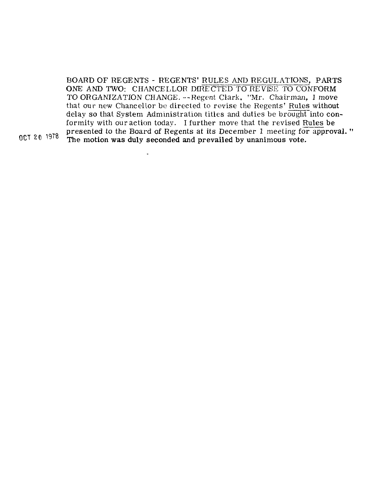BOARD OF REGENTS - REGENTS' RULES AND REGULATIONS, PARTS ONE AND TWO: CHANCELLOR DIRECTED TO REVISE TO CONFORM TO ORGANIZATION CHANGE. ---Hegent Clark, "Mr. Chairman, I move BOARD OF REGENTS - REGENTS' RULES AND REGULATIONS, PARTS<br>ONE AND TWO: CHANCELLOR DIRECTED TO REVISE TO CONFORM<br>TO ORGANIZATION CHANGE. --Regent Clark, "Mr. Chairman, I move<br>that our new Chancellor be directed to revise the delay so that System Administration titles and duties be brought into  $\mathop{\mathsf{con}}\nolimits$ forming the content of the revision of the revise of the regents' Rules without<br>delay so that System Administration titles and duties be brought into cor<br>formity with our action today. I further move that the revised <u>Rule</u> formity with our action today. I further move that the revised Rules be<br>presented to the Board of Regents at its December 1 meeting for approval."<br>The motion was duly seconded and prevailed by unanimous vote.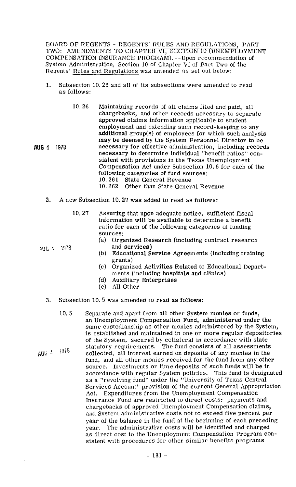UOARD OF REGENTS - REGENTS' RULES AND REGULATIONS, PART TWO: AMENDMENTS TO CHAPTER VI, SECTION 10 (UNEMPLOYMENT COMPENSATION INSURANCE PROGRAM). --Upon recommendation of System Administration, Section 10 of Chapter VI of Part Two of the Regents' Rules and Regulations was amended as set out below:

- 1. Subsection 10.26 and all of its subsections were amended to read as follows:
	- 10.26 Maintaining records of all claims filed and paid, all chargebacks, and other records necessary to separate approved claims inform ation applicable to student employment and extending such record-keeping to any additional group( $s$ ) of employees for which such analysis may be deemed by the System Personnel Director to be necessary for effective administration, including records necessary to determine individual "benefit ratios" consistent with provisions in the Texas Unemployment Compensation Act under Subsection 10.6 for each of the following categories of fund sources:<br>10.261 State General Revenue 10.261 State General Revenue<br>10.262 Other than State Gener Other than State General Revenue
	-
- 2. A new Subsection 10.27 was added to read as follows:
	- 10.27 Assuring that upon adequate notice, sufficient fiscal information will be available to determine a benefit ratio for each of the following categories of funding sources:
		- (a) Organized Research (including contract research
		- Educational Service Agreements (including training grants)
		- (c) Organized Activities Related to Educational Departments (including hospitals and clinics)
		- (d) Auxiliary Enterprises<br>(e) All Other
		- All Other
- **3.** Subsection 10. 5 was amended to read as follows:
- 10. 5 Separate and apart from all other System monies or funds, an Unemployment Compensation Fund, administered under the same custodianship as other monies administered by the System, is established and maintained in one or more regular depositories of the System, secured by collateral in accordance with state statutory requirements. The fund consists of all assessments  $\mu$ UG  $4$   $1918$  collected, all interest earned on deposits of any monies in the fund, and all other monies received for the fund from any other source. Investments or time deposits of such funds will be in accordance with regular System policies. This fund is designated as a. "revolving fund" under the "University of Texas Central Services Account" provision of the current General Appropriation Act. Expenditures from the Unemployment Compensation Insurance Fund are restricted to direct costs: payments and chargebacks of approved Unemployment Compensation claims, and System administrative costs not to exceed five percent per year of the balance in the fund at the beginning of each preceding year. The administrative costs will be identified and charged as direct cost to the Unemployment Compensation Program consistent with procedures for other similar benefits programs

 $AUC$  4 1978 (b)

**AUG 4 1978**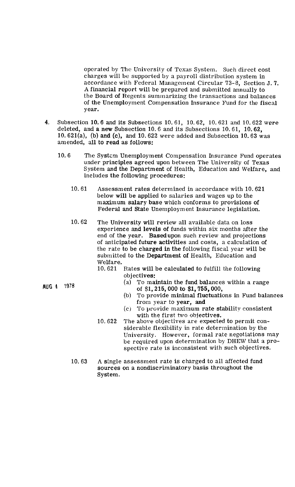operated by Tho University of Texas System. Such direct cost charges will be supported by a payroll distribution system in accordance with Federal Management Circular 73-8, Section J. 7. A financial report will be prepared and submitted annually to the Board of Regents summarizing the transactions and balances of the Unemployment Compensation Insurance Fund for the fiscal year.

- 4. Subsection 10.6 and its Subsections 10.61, 10.62, 10.621 and 10.622 were deleted, and a new Subsection 10.6 and its Subsections 10.61, 10.62, 10.621(a), (b) and (c), and 10.622 were added and Subsection 10.63 was amended, all to read as follows:
	- 10.6 The Systcm Unemployment Compensation Insurance Fund operates under principles agreed upon between The University of Texas System and the Department of Health, Education and Welfare, and includes the following procedures:
		- 10.61 Assessment rates determined in accordance with 10.621 below will be applied to salaries and wages up to the maximum salary base which conforms to provisions of Federal and State Unemployment Insurance legislation.
		- 10.62 The University will review all available data on loss experience and levels of funds within six months after the end of the year. Basedupon such review and projections of anticipated future activities and costs, a calculation of the rate to be charged in the following fiscal year will be submitted to the Department of Health, Education and Welfare.<br>10.621
			- Rates will be calculated to fulfill the following objectives:
				- (a) To maintain the fund balances within a range of \$1,215,000 to \$1,755,000,
				- (b) To provide minimal fluctuations in Fund balances from year to year, and
				- $(c)$  To provide maximum rate stability consistent with the first two objectives.
			- 10.622 The above objectives are expected to permit considerable flexibility in rate determination by the University. However, formal rate negotiations may be required upon determination by DHEW that a prospective rate is inconsistent with such objectives.
		- 10.63 **<sup>A</sup>**single assessment rate is charged to all affected fund sources on a nondiscriminatory basis throughout the System.

AUG 4 1978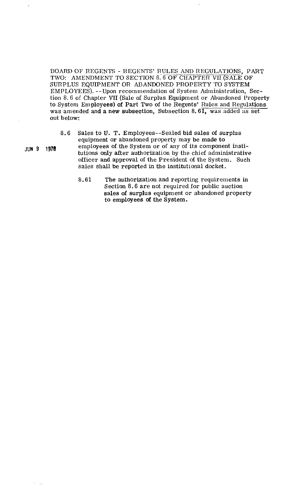BOARD OF REGENTS - REGENTS' RULES AND REGULATIONS, PART TWO: AMENDMENT TO SECTION 8. 6 OF CHAPTER VII (SALE OF SURPLUS EQUIPMENT OR ABANDONED PROPERTY TO SYSTEM EMPLOYEES). --Upon recommendation of System Administration, Section 8.6 of Chapter VII (Sale of Surplus Equipment or Abandoned Property to System Employees) **of** Part Two of the Regents' Rules and Regulations was amended and a new subsection, Subsection 8.61, was added as set out below:

- 
- equipment or abandoned property may be made to **JUN9 1978** employees of the System or of any of its component institutions only after authorization by the chief administrative officer and approval of the President of the System. **Such**  sales shall be reported in the institutional docket,

8.6 Sales to **U.** T. Employees--Sealed bid sales of surplus

**8.61** The authorization and reporting requirements in Section 8.6 are not required for public auction sales **of** surplus equipment or abandoned property to employees of the System.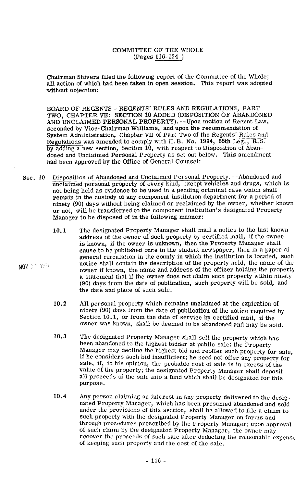Chairman Shivers filed the following report of the Committee of the Whole; all action of which had been taken in open session. This report was adopted without objection:

BOARD OF REGENTS - REGENTS' RULES AND REGULATIONS, PART **TWO,** CHAPTER VII: SECTION 10 ADDED (DISPOSITION OF ABANDONED AND UNCLAIMED PERSONAL PROPERTY). --Upon motion of Regent Law, seconded by Vice-Chairman Williams, and upon the recommendation of System Administration, Chapter **VII** of Part Two of the Regents' Rules and Regulations was amended to comply with H.B. No. 1994, 65th Leg.,  $R.S.$ by adding a new section, Section 10, with respect to Disposition of Abandoned and Unclaimed Personal Property as set out below. This amendment had been approved by the Office of General Counsel:

Sec. 10 Disposition of Abandoned and Unclaimed Personal Property. --Abandoned and unclaimed personal property of every kind, except vehicles and drugs, which is not being held as evidence to be used in a pending criminal case which shall remain in the custody of any component institution department for a period of ninety (90) days without being claimed or reclaimed by the owner, whether known or not, will be transferred to the component institution's designated Property Manager to be disposed of in the following manner:

NOV 11 1977

- 10.1 The designated Property Manager shall mail a notice to the last known address of the owner of such property by certified mail, if the owner is known, if the owner is unknown, then the Property Manager shall cause to be published once in the student newspaper, then in a paper of general circulation in the county in which the institution is located, such notice shall contain the description of the property held, the name of the owner if known, the name and address of the officer holding the property a statement that if the owner does not claim such property within ninety (90) days from the date of publication, such property will be sold, and the date and place of such sale.
- 10.2 All personal property which remains unclaimed at the expiration of ninety (90) days from the date of publication of the notice required by Section 10.1, or from the date of service by certified mail, if the owner was known, shall be deemed to be abandoned and may be sold.
- 10.3 The designated Property Manager shall sell the property which has been abandoned to the highest bidder at public sale; the Property Manager may decline the highest bid and reoffer such property for sale, if he considers such bid insufficient; he need not offer any property for sale, if, in his opinion, the probable cost of sale is in excess of the value of the property; the designated Property Manager shall deposit all proceeds of the sale into a fund which shall be designated for this purpose.
- 10.4 Any person claiming an interest in any property delivered to the designated Property Manager, which has been presumed abandoned and sold under the provisions of this section, shall be allowed to file a claim to such property with the designated Property Manager on forms and through procedures prescribed by the Property Manager; upon approval of such claim by the designatcd Property Manager, the owner may recover the proceeds of such sale after deducting the reasonable expense of keeping such property and the cost of the sale.